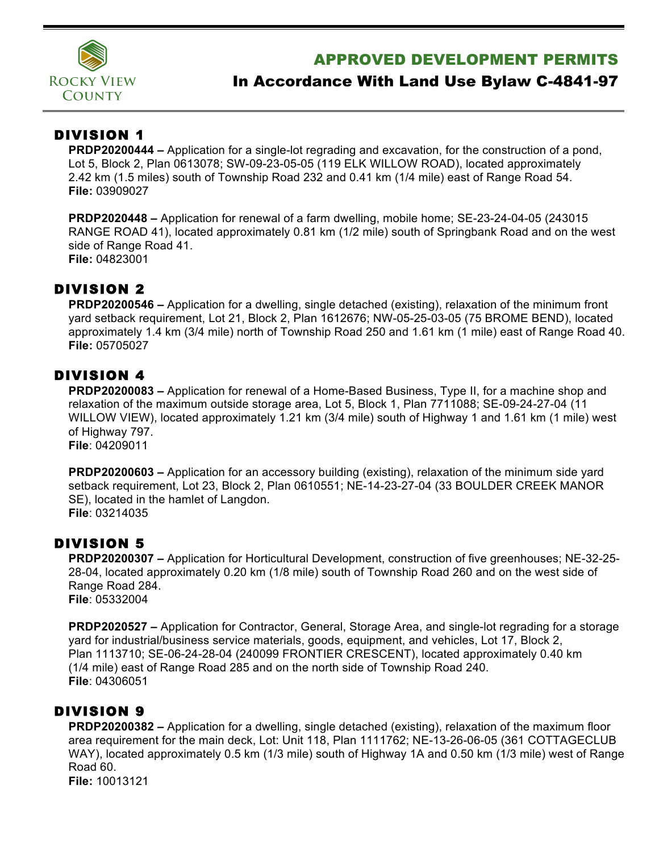

## APPROVED DEVELOPMENT PERMITS

# In Accordance With Land Use Bylaw C-4841-97

### DIVISION 1

**PRDP20200444 –** Application for a single-lot regrading and excavation, for the construction of a pond, Lot 5, Block 2, Plan 0613078; SW-09-23-05-05 (119 ELK WILLOW ROAD), located approximately 2.42 km (1.5 miles) south of Township Road 232 and 0.41 km (1/4 mile) east of Range Road 54. **File:** 03909027

**PRDP2020448 –** Application for renewal of a farm dwelling, mobile home; SE-23-24-04-05 (243015 RANGE ROAD 41), located approximately 0.81 km (1/2 mile) south of Springbank Road and on the west side of Range Road 41. **File:** 04823001

## DIVISION 2

**PRDP20200546 –** Application for a dwelling, single detached (existing), relaxation of the minimum front yard setback requirement, Lot 21, Block 2, Plan 1612676; NW-05-25-03-05 (75 BROME BEND), located approximately 1.4 km (3/4 mile) north of Township Road 250 and 1.61 km (1 mile) east of Range Road 40. **File:** 05705027

### DIVISION 4

**PRDP20200083 –** Application for renewal of a Home-Based Business, Type II, for a machine shop and relaxation of the maximum outside storage area, Lot 5, Block 1, Plan 7711088; SE-09-24-27-04 (11 WILLOW VIEW), located approximately 1.21 km (3/4 mile) south of Highway 1 and 1.61 km (1 mile) west of Highway 797. **File**: 04209011

**PRDP20200603 –** Application for an accessory building (existing), relaxation of the minimum side yard setback requirement, Lot 23, Block 2, Plan 0610551; NE-14-23-27-04 (33 BOULDER CREEK MANOR SE), located in the hamlet of Langdon. **File**: 03214035

### DIVISION 5

**PRDP20200307 –** Application for Horticultural Development, construction of five greenhouses; NE-32-25- 28-04, located approximately 0.20 km (1/8 mile) south of Township Road 260 and on the west side of Range Road 284. **File**: 05332004

**PRDP2020527 –** Application for Contractor, General, Storage Area, and single-lot regrading for a storage yard for industrial/business service materials, goods, equipment, and vehicles, Lot 17, Block 2, Plan 1113710; SE-06-24-28-04 (240099 FRONTIER CRESCENT), located approximately 0.40 km (1/4 mile) east of Range Road 285 and on the north side of Township Road 240. **File**: 04306051

### DIVISION 9

**PRDP20200382 –** Application for a dwelling, single detached (existing), relaxation of the maximum floor area requirement for the main deck, Lot: Unit 118, Plan 1111762; NE-13-26-06-05 (361 COTTAGECLUB WAY), located approximately 0.5 km (1/3 mile) south of Highway 1A and 0.50 km (1/3 mile) west of Range Road 60. **File:** 10013121